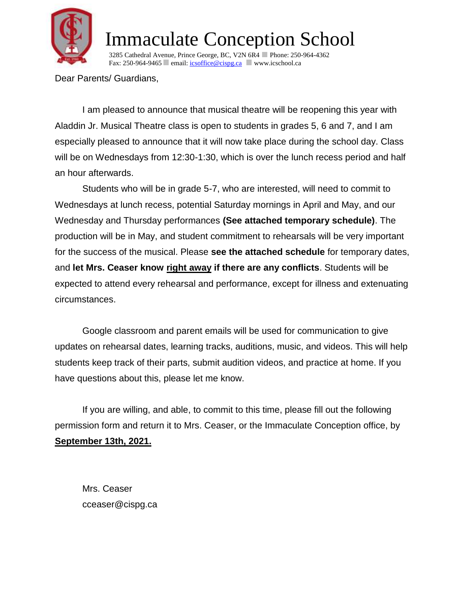

3285 Cathedral Avenue, Prince George, BC, V2N 6R4 Phone: 250-964-4362 Fax: 250-964-9465 email: *icsoffice@cispg.ca* www.icschool.ca

Dear Parents/ Guardians,

I am pleased to announce that musical theatre will be reopening this year with Aladdin Jr. Musical Theatre class is open to students in grades 5, 6 and 7, and I am especially pleased to announce that it will now take place during the school day. Class will be on Wednesdays from 12:30-1:30, which is over the lunch recess period and half an hour afterwards.

Students who will be in grade 5-7, who are interested, will need to commit to Wednesdays at lunch recess, potential Saturday mornings in April and May, and our Wednesday and Thursday performances **(See attached temporary schedule)**. The production will be in May, and student commitment to rehearsals will be very important for the success of the musical. Please **see the attached schedule** for temporary dates, and **let Mrs. Ceaser know right away if there are any conflicts**. Students will be expected to attend every rehearsal and performance, except for illness and extenuating circumstances.

Google classroom and parent emails will be used for communication to give updates on rehearsal dates, learning tracks, auditions, music, and videos. This will help students keep track of their parts, submit audition videos, and practice at home. If you have questions about this, please let me know.

If you are willing, and able, to commit to this time, please fill out the following permission form and return it to Mrs. Ceaser, or the Immaculate Conception office, by **September 13th, 2021.**

Mrs. Ceaser cceaser@cispg.ca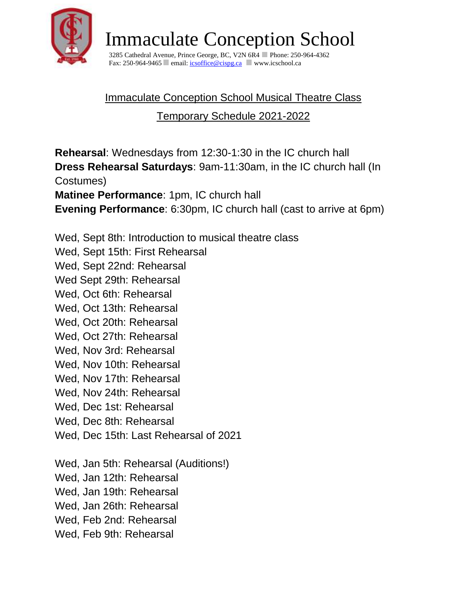

3285 Cathedral Avenue, Prince George, BC, V2N 6R4 Phone: 250-964-4362 Fax: 250-964-9465 email:  $\frac{\text{icsoffice@cispc.a}}{\text{cosopc.a}}$  www.icschool.ca

### Immaculate Conception School Musical Theatre Class

Temporary Schedule 2021-2022

**Rehearsal**: Wednesdays from 12:30-1:30 in the IC church hall **Dress Rehearsal Saturdays**: 9am-11:30am, in the IC church hall (In Costumes)

**Matinee Performance**: 1pm, IC church hall **Evening Performance**: 6:30pm, IC church hall (cast to arrive at 6pm)

Wed, Sept 8th: Introduction to musical theatre class

Wed, Sept 15th: First Rehearsal

Wed, Sept 22nd: Rehearsal

Wed Sept 29th: Rehearsal

Wed, Oct 6th: Rehearsal

Wed, Oct 13th: Rehearsal

Wed, Oct 20th: Rehearsal

Wed, Oct 27th: Rehearsal

Wed, Nov 3rd: Rehearsal

Wed, Nov 10th: Rehearsal

Wed, Nov 17th: Rehearsal

Wed, Nov 24th: Rehearsal

Wed, Dec 1st: Rehearsal

Wed, Dec 8th: Rehearsal

Wed, Dec 15th: Last Rehearsal of 2021

Wed, Jan 5th: Rehearsal (Auditions!)

Wed, Jan 12th: Rehearsal

Wed, Jan 19th: Rehearsal

Wed, Jan 26th: Rehearsal

Wed, Feb 2nd: Rehearsal

Wed, Feb 9th: Rehearsal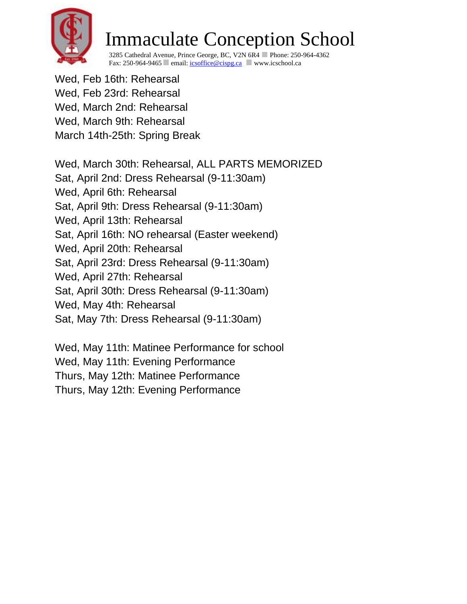

3285 Cathedral Avenue, Prince George, BC, V2N 6R4 Phone: 250-964-4362 Fax: 250-964-9465 email: *icsoffice@cispg.ca* www.icschool.ca

Wed, Feb 16th: Rehearsal Wed, Feb 23rd: Rehearsal Wed, March 2nd: Rehearsal Wed, March 9th: Rehearsal March 14th-25th: Spring Break

Wed, March 30th: Rehearsal, ALL PARTS MEMORIZED Sat, April 2nd: Dress Rehearsal (9-11:30am) Wed, April 6th: Rehearsal Sat, April 9th: Dress Rehearsal (9-11:30am) Wed, April 13th: Rehearsal Sat, April 16th: NO rehearsal (Easter weekend) Wed, April 20th: Rehearsal Sat, April 23rd: Dress Rehearsal (9-11:30am) Wed, April 27th: Rehearsal Sat, April 30th: Dress Rehearsal (9-11:30am) Wed, May 4th: Rehearsal Sat, May 7th: Dress Rehearsal (9-11:30am)

Wed, May 11th: Matinee Performance for school Wed, May 11th: Evening Performance Thurs, May 12th: Matinee Performance Thurs, May 12th: Evening Performance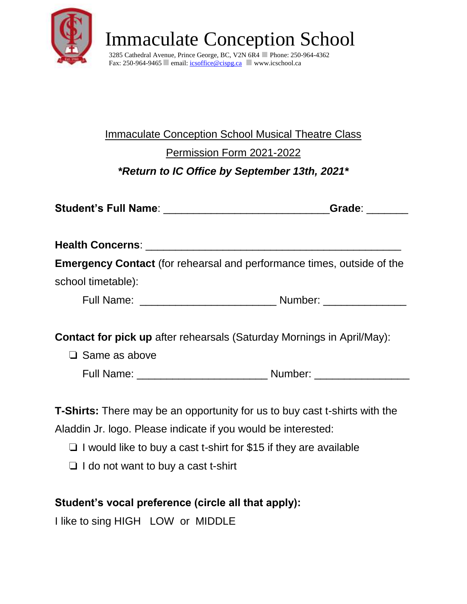

3285 Cathedral Avenue, Prince George, BC, V2N 6R4 Phone: 250-964-4362 Fax: 250-964-9465 email: *icsoffice@cispg.ca* www.icschool.ca

#### Immaculate Conception School Musical Theatre Class

Permission Form 2021-2022

*\*Return to IC Office by September 13th, 2021\**

|                      | Grade: The Control                                                            |
|----------------------|-------------------------------------------------------------------------------|
|                      |                                                                               |
|                      | <b>Emergency Contact</b> (for rehearsal and performance times, outside of the |
| school timetable):   |                                                                               |
|                      |                                                                               |
|                      | <b>Contact for pick up</b> after rehearsals (Saturday Mornings in April/May): |
| $\Box$ Same as above |                                                                               |
|                      |                                                                               |

**T-Shirts:** There may be an opportunity for us to buy cast t-shirts with the Aladdin Jr. logo. Please indicate if you would be interested:

- ❏ I would like to buy a cast t-shirt for \$15 if they are available
- ❏ I do not want to buy a cast t-shirt

#### **Student's vocal preference (circle all that apply):**

I like to sing HIGH LOW or MIDDLE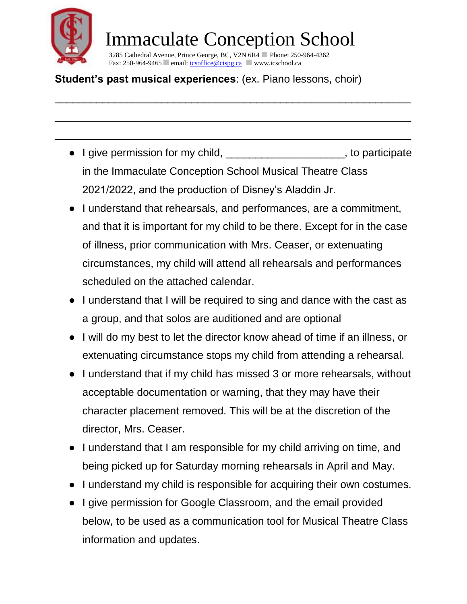

\_\_\_\_\_\_\_\_\_\_\_\_\_\_\_\_\_\_\_\_\_\_\_\_\_\_\_\_\_\_\_\_\_\_\_\_\_\_\_\_\_\_\_\_\_\_\_\_\_\_\_\_\_\_\_\_\_\_\_\_

\_\_\_\_\_\_\_\_\_\_\_\_\_\_\_\_\_\_\_\_\_\_\_\_\_\_\_\_\_\_\_\_\_\_\_\_\_\_\_\_\_\_\_\_\_\_\_\_\_\_\_\_\_\_\_\_\_\_\_\_

\_\_\_\_\_\_\_\_\_\_\_\_\_\_\_\_\_\_\_\_\_\_\_\_\_\_\_\_\_\_\_\_\_\_\_\_\_\_\_\_\_\_\_\_\_\_\_\_\_\_\_\_\_\_\_\_\_\_\_\_

3285 Cathedral Avenue, Prince George, BC, V2N 6R4 Phone: 250-964-4362 Fax: 250-964-9465 email: *icsoffice@cispg.ca* www.icschool.ca

#### **Student's past musical experiences**: (ex. Piano lessons, choir)

- I give permission for my child, \_\_\_\_\_\_\_\_\_\_\_\_\_\_\_\_\_\_\_\_, to participate in the Immaculate Conception School Musical Theatre Class 2021/2022, and the production of Disney's Aladdin Jr.
- I understand that rehearsals, and performances, are a commitment, and that it is important for my child to be there. Except for in the case of illness, prior communication with Mrs. Ceaser, or extenuating circumstances, my child will attend all rehearsals and performances scheduled on the attached calendar.
- I understand that I will be required to sing and dance with the cast as a group, and that solos are auditioned and are optional
- I will do my best to let the director know ahead of time if an illness, or extenuating circumstance stops my child from attending a rehearsal.
- I understand that if my child has missed 3 or more rehearsals, without acceptable documentation or warning, that they may have their character placement removed. This will be at the discretion of the director, Mrs. Ceaser.
- I understand that I am responsible for my child arriving on time, and being picked up for Saturday morning rehearsals in April and May.
- I understand my child is responsible for acquiring their own costumes.
- I give permission for Google Classroom, and the email provided below, to be used as a communication tool for Musical Theatre Class information and updates.